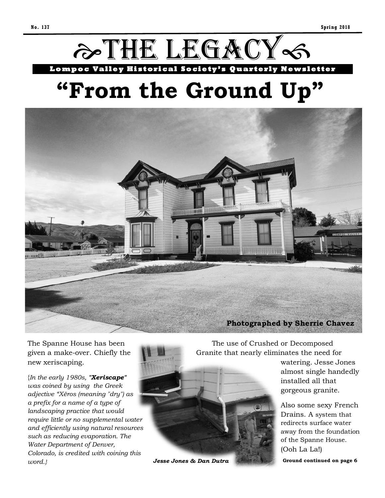

# **"From the Ground Up"**



The Spanne House has been given a make-over. Chiefly the new xeriscaping.

{*In the early 1980s, "Xeriscape" was coined by using the Greek adjective "Xēros (meaning "dry") as a prefix for a name of a type of landscaping practice that would require little or no supplemental water and efficiently using natural resources such as reducing evaporation. The Water Department of Denver, Colorado, is credited with coining this word.}*

 The use of Crushed or Decomposed Granite that nearly eliminates the need for

> watering. Jesse Jones almost single handedly installed all that gorgeous granite.

> Also some sexy French Drains. A system that redirects surface water away from the foundation of the Spanne House. (Ooh La La!)

*Jesse Jones & Dan Dutra Ground continued on page 6*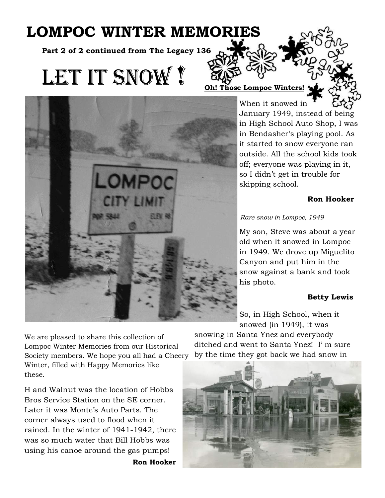# **LOMPOC WINTER MEMORIES**

**Part 2 of 2 continued from The Legacy 136**

# LET IT SNOW?



**Se Lompoc Winters** 

When it snowed in January 1949, instead of being in High School Auto Shop, I was in Bendasher's playing pool. As it started to snow everyone ran outside. All the school kids took off; everyone was playing in it, so I didn't get in trouble for skipping school.

## **Ron Hooker**

## *Rare snow in Lompoc, 1949*

My son, Steve was about a year old when it snowed in Lompoc in 1949. We drove up Miguelito Canyon and put him in the snow against a bank and took his photo.

## **Betty Lewis**

So, in High School, when it snowed (in 1949), it was

We are pleased to share this collection of Lompoc Winter Memories from our Historical Society members. We hope you all had a Cheery Winter, filled with Happy Memories like these.

H and Walnut was the location of Hobbs Bros Service Station on the SE corner. Later it was Monte's Auto Parts. The corner always used to flood when it rained. In the winter of 1941-1942, there was so much water that Bill Hobbs was using his canoe around the gas pumps!

**Ron Hooker**

snowing in Santa Ynez and everybody ditched and went to Santa Ynez! I' m sure by the time they got back we had snow in

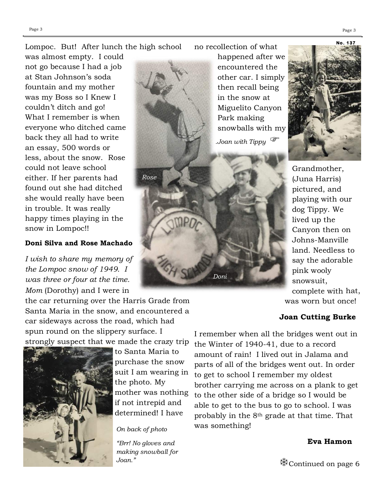### Lompoc. But! After lunch the high school

was almost empty. I could not go because I had a job at Stan Johnson's soda fountain and my mother was my Boss so I Knew I couldn't ditch and go! What I remember is when everyone who ditched came back they all had to write an essay, 500 words or less, about the snow. Rose could not leave school either. If her parents had found out she had ditched she would really have been in trouble. It was really happy times playing in the snow in Lompoc!!

### **Doni Silva and Rose Machado**

*I wish to share my memory of the Lompoc snow of 1949. I was three or four at the time. Mom* (Dorothy) and I were in

the car returning over the Harris Grade from Santa Maria in the snow, and encountered a car sideways across the road, which had spun round on the slippery surface. I strongly suspect that we made the crazy trip



to Santa Maria to purchase the snow suit I am wearing in the photo. My mother was nothing if not intrepid and determined! I have

*Rose*

*On back of photo*

*"Brr! No gloves and making snowball for*  no recollection of what

happened after we encountered the other car. I simply then recall being in the snow at Miguelito Canyon Park making snowballs with my

*.Joan with Tippy* 

*Doni*



Grandmother, (Juna Harris) pictured, and playing with our dog Tippy. We lived up the Canyon then on Johns-Manville land. Needless to say the adorable pink wooly snowsuit, complete with hat, was worn but once!

#### **Joan Cutting Burke**

I remember when all the bridges went out in the Winter of 1940-41, due to a record amount of rain! I lived out in Jalama and parts of all of the bridges went out. In order to get to school I remember my oldest brother carrying me across on a plank to get to the other side of a bridge so I would be able to get to the bus to go to school. I was probably in the 8th grade at that time. That was something!

#### **Eva Hamon**

*Joan.*" **Continued on page 6**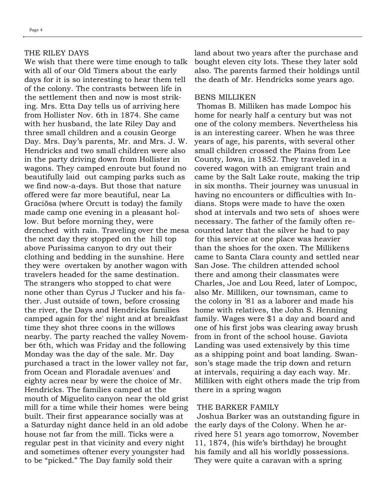#### THE RILEY DAYS

We wish that there were time enough to talk with all of our Old Timers about the early days for it is so interesting to hear them tell of the colony. The contrasts between life in the settlement then and now is most striking. Mrs. Etta Day tells us of arriving here from Hollister Nov. 6th in 1874. She came with her husband, the late Riley Day and three small children and a cousin George Day. Mrs. Day's parents, Mr. and Mrs. J. W. Hendricks and two small children were also in the party driving down from Hollister in wagons. They camped enroute but found no beautifully laid out camping parks such as we find now-a-days. But those that nature offered were far more beautiful, near La Graciösa (where Orcutt is today) the family made camp one evening in a pleasant hollow. But before morning they, were drenched with rain. Traveling over the mesa the next day they stopped on the hill top above Purissima canyon to dry out their clothing and bedding in the sunshine. Here they were overtaken by another wagon with travelers headed for the same destination. The strangers who stopped to chat were none other than Cyrus J Tucker and his father. Just outside of town, before crossing the river, the Days and Hendricks families camped again for the' night and at breakfast time they shot three coons in the willows nearby. The party reached the valley November 6th, which was Friday and the following Monday was the day of the sale. Mr. Day purchased a tract in the lower valley not far, from Ocean and Floradale avenues' and eighty acres near by were the choice of Mr. Hendricks. The families camped at the mouth of Miguelito canyon near the old grist mill for a time while their homes were being built. Their first appearance socially was at a Saturday night dance held in an old adobe house not far from the mill. Ticks were a regular pest in that vicinity and every night and sometimes oftener every youngster had to be "picked." The Day family sold their

land about two years after the purchase and bought eleven city lots. These they later sold also. The parents farmed their holdings until the death of Mr. Hendricks some years ago.

#### BENS MILLIKEN

Thomas B. Milliken has made Lompoc his home for nearly half a century but was not one of the colony members. Nevertheless his is an interesting career. When he was three years of age, his parents, with several other small children crossed the Plains from Lee County, Iowa, in 1852. They traveled in a covered wagon with an emigrant train and came by the Salt Lake route, making the trip in six months. Their journey was unusual in having no encounters or difficulties with Indians. Stops were made to have the oxen shod at intervals and two sets of shoes were necessary. The father of the family often recounted later that the silver he had to pay for this service at one place was heavier than the shoes for the oxen. The Millikens came to Santa Clara county and settled near San Jose. The children attended school there and among their classmates were Charles, Joe and Lou Reed, later of Lompoc, also Mr. Milliken, our townsman, came to the colony in '81 as a laborer and made his home with relatives, the John S. Henning family. Wages were \$1 a day and board and one of his first jobs was clearing away brush from in front of the school house. Gaviota Landing was used extensively by this time as a shipping point and boat landing. Swanson's stage made the trip down and return at intervals, requiring a day each way. Mr. Milliken with eight others made the trip from there in a spring wagon

#### THE BARKER FAMILY

Joshua Barker was an outstanding figure in the early days of the Colony. When he arrived here 51 years ago tomorrow, November 11, 1874, (his wife's birthday) he brought his family and all his worldly possessions. They were quite a caravan with a spring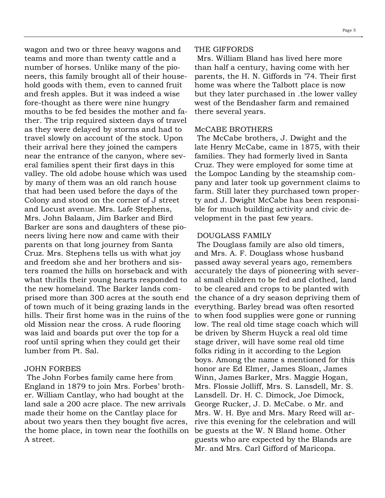wagon and two or three heavy wagons and teams and more than twenty cattle and a number of horses. Unlike many of the pioneers, this family brought all of their household goods with them, even to canned fruit and fresh apples. But it was indeed a wise fore-thought as there were nine hungry mouths to be fed besides the mother and father. The trip required sixteen days of travel as they were delayed by storms and had to travel slowly on account of the stock. Upon their arrival here they joined the campers near the entrance of the canyon, where several families spent their first days in this valley. The old adobe house which was used by many of them was an old ranch house that had been used before the days of the Colony and stood on the corner of J street and Locust avenue. Mrs. Lafe Stephens, Mrs. John Balaam, Jim Barker and Bird Barker are sons and daughters of these pioneers living here now and came with their parents on that long journey from Santa Cruz. Mrs. Stephens tells us with what joy and freedom she and her brothers and sisters roamed the hills on horseback and with what thrills their young hearts responded to the new homeland. The Barker lands comprised more than 300 acres at the south end of town much of it being grazing lands in the hills. Their first home was in the ruins of the to when food supplies were gone or running old Mission near the cross. A rude flooring was laid and boards put over the top for a roof until spring when they could get their lumber from Pt. Sal.

#### JOHN FORBES

The John Forbes family came here from England in 1879 to join Mrs. Forbes' brother. William Cantlay, who had bought at the land sale a 200 acre place. The new arrivals made their home on the Cantlay place for about two years then they bought five acres, the home place, in town near the foothills on A street.

#### THE GIFFORDS

Mrs. William Bland has lived here more than half a century, having come with her parents, the H. N. Giffords in '74. Their first home was where the Talbott place is now but they later purchased in .the lower valley west of the Bendasher farm and remained there several years.

#### McCABE BROTHERS

The McCabe brothers, J. Dwight and the late Henry McCabe, came in 1875, with their families. They had formerly lived in Santa Cruz. They were employed for some time at the Lompoc Landing by the steamship company and later took up government claims to farm. Still later they purchased town property and J. Dwight McCabe has been responsible for much building activity and civic development in the past few years.

#### DOUGLASS FAMILY

The Douglass family are also old timers, and Mrs. A. F. Douglass whose husband passed away several years ago, remembers accurately the days of pioneering with several small children to be fed and clothed, land to be cleared and crops to be planted with the chance of a dry season depriving them of everything. Barley bread was often resorted low. The real old time stage coach which will be driven by Sherm Huyck a real old time stage driver, will have some real old time folks riding in it according to the Legion boys. Among the name s mentioned for this honor are Ed Elmer, James Sloan, James Winn, James Barker, Mrs. Maggie Hogan, Mrs. Flossie Jolliff, Mrs. S. Lansdell, Mr. S. Lansdell. Dr. H. C. Dimock, Joe Dimock, George Rucker, J. D. McCabe. o Mr. and Mrs. W. H. Bye and Mrs. Mary Reed will arrive this evening for the celebration and will be guests at the W. N Bland home. Other guests who are expected by the Blands are Mr. and Mrs. Carl Gifford of Maricopa.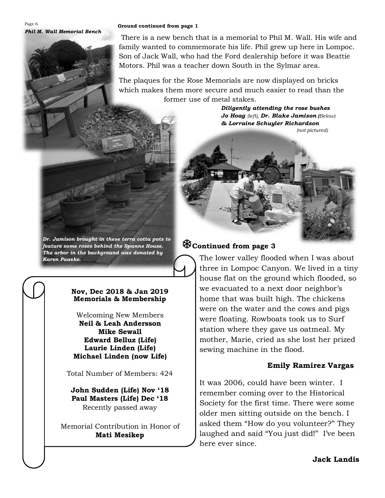Page 6 *Phil M. Wall Memorial Bench*

#### **Ground continued from page 1**

There is a new bench that is a memorial to Phil M. Wall. His wife and family wanted to commemorate his life. Phil grew up here in Lompoc. Son of Jack Wall, who had the Ford dealership before it was Beattie Motors. Phil was a teacher down South in the Sylmar area.

The plaques for the Rose Memorials are now displayed on bricks which makes them more secure and much easier to read than the former use of metal stakes.

*Diligently attending the rose bushes Jo Hoag (left), Dr. Blake Jamison (Below) & Lorraine Schuyler Richardson (not pictured)*

*Dr. Jamison brought in these terra cotta pots to feature some roses behind the Spanne House. The arbor in the background was donated by Karen Paaske.*

### **Nov, Dec 2018 & Jan 2019 Memorials & Membership**

Welcoming New Members **Neil & Leah Andersson Mike Sewall Edward Belluz (Life) Laurie Linden (Life) Michael Linden (now Life)**

Total Number of Members: 424

**John Sudden (Life) Nov '18 Paul Masters (Life) Dec '18** Recently passed away

Memorial Contribution in Honor of **Mati Mesikep**

# **Continued from page 3**

The lower valley flooded when I was about three in Lompoc Canyon. We lived in a tiny house flat on the ground which flooded, so we evacuated to a next door neighbor's home that was built high. The chickens were on the water and the cows and pigs were floating. Rowboats took us to Surf station where they gave us oatmeal. My mother, Marie, cried as she lost her prized sewing machine in the flood.

## **Emily Ramirez Vargas**

It was 2006, could have been winter. I remember coming over to the Historical Society for the first time. There were some older men sitting outside on the bench. I asked them "How do you volunteer?" They laughed and said "You just did!" I've been here ever since.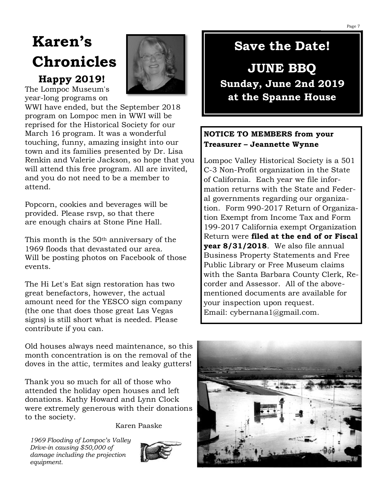# **Karen's Chronicles**

# **Happy 2019!**

The Lompoc Museum's year-long programs on



WWI have ended, but the September 2018 program on Lompoc men in WWI will be reprised for the Historical Society for our March 16 program. It was a wonderful touching, funny, amazing insight into our town and its families presented by Dr. Lisa Renkin and Valerie Jackson, so hope that you will attend this free program. All are invited, and you do not need to be a member to attend.

Popcorn, cookies and beverages will be provided. Please rsvp, so that there are enough chairs at Stone Pine Hall.

This month is the 50th anniversary of the 1969 floods that devastated our area. Will be posting photos on Facebook of those events.

The Hi Let's Eat sign restoration has two great benefactors, however, the actual amount need for the YESCO sign company (the one that does those great Las Vegas signs) is still short what is needed. Please contribute if you can.

Old houses always need maintenance, so this month concentration is on the removal of the doves in the attic, termites and leaky gutters!

Thank you so much for all of those who attended the holiday open houses and left donations. Kathy Howard and Lynn Clock were extremely generous with their donations to the society.

Karen Paaske

*1969 Flooding of Lompoc's Valley Drive-in causing \$50,000 of damage including the projection equipment.*



# **Save the Date!**

# **JUNE BBQ Sunday, June 2nd 2019 at the Spanne House**

## **NOTICE TO MEMBERS from your Treasurer – Jeannette Wynne**

Lompoc Valley Historical Society is a 501 C-3 Non-Profit organization in the State of California. Each year we file information returns with the State and Federal governments regarding our organization. Form 990-2017 Return of Organization Exempt from Income Tax and Form 199-2017 California exempt Organization Return were **filed at the end of or Fiscal year 8/31/2018**. We also file annual Business Property Statements and Free Public Library or Free Museum claims with the Santa Barbara County Clerk, Recorder and Assessor. All of the abovementioned documents are available for your inspection upon request. Email: [cybernana1@gmail.com.](mailto:cybernana1@gmail.com)